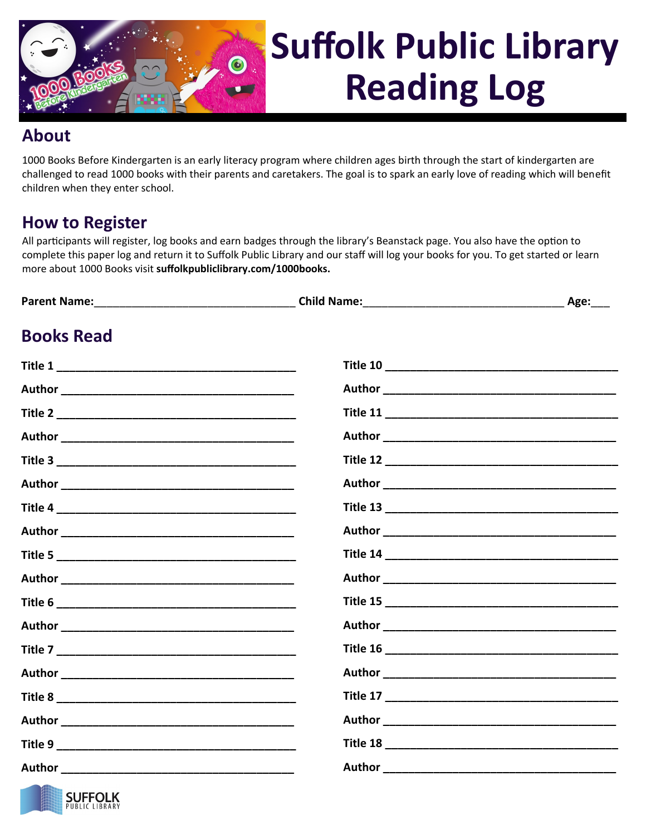

## **Suffolk Public Library Reading Log**

## **About**

1000 Books Before Kindergarten is an early literacy program where children ages birth through the start of kindergarten are challenged to read 1000 books with their parents and caretakers. The goal is to spark an early love of reading which will benefit children when they enter school.

## **How to Register**

All participants will register, log books and earn badges through the library's Beanstack page. You also have the option to complete this paper log and return it to Suffolk Public Library and our staff will log your books for you. To get started or learn more about 1000 Books visit **suffolkpubliclibrary.com/1000books.**

| <b>Books Read</b> |  |
|-------------------|--|
|                   |  |
|                   |  |
|                   |  |
|                   |  |
|                   |  |
|                   |  |
|                   |  |
|                   |  |
|                   |  |
|                   |  |
|                   |  |
|                   |  |
|                   |  |
|                   |  |
|                   |  |
|                   |  |
|                   |  |
|                   |  |